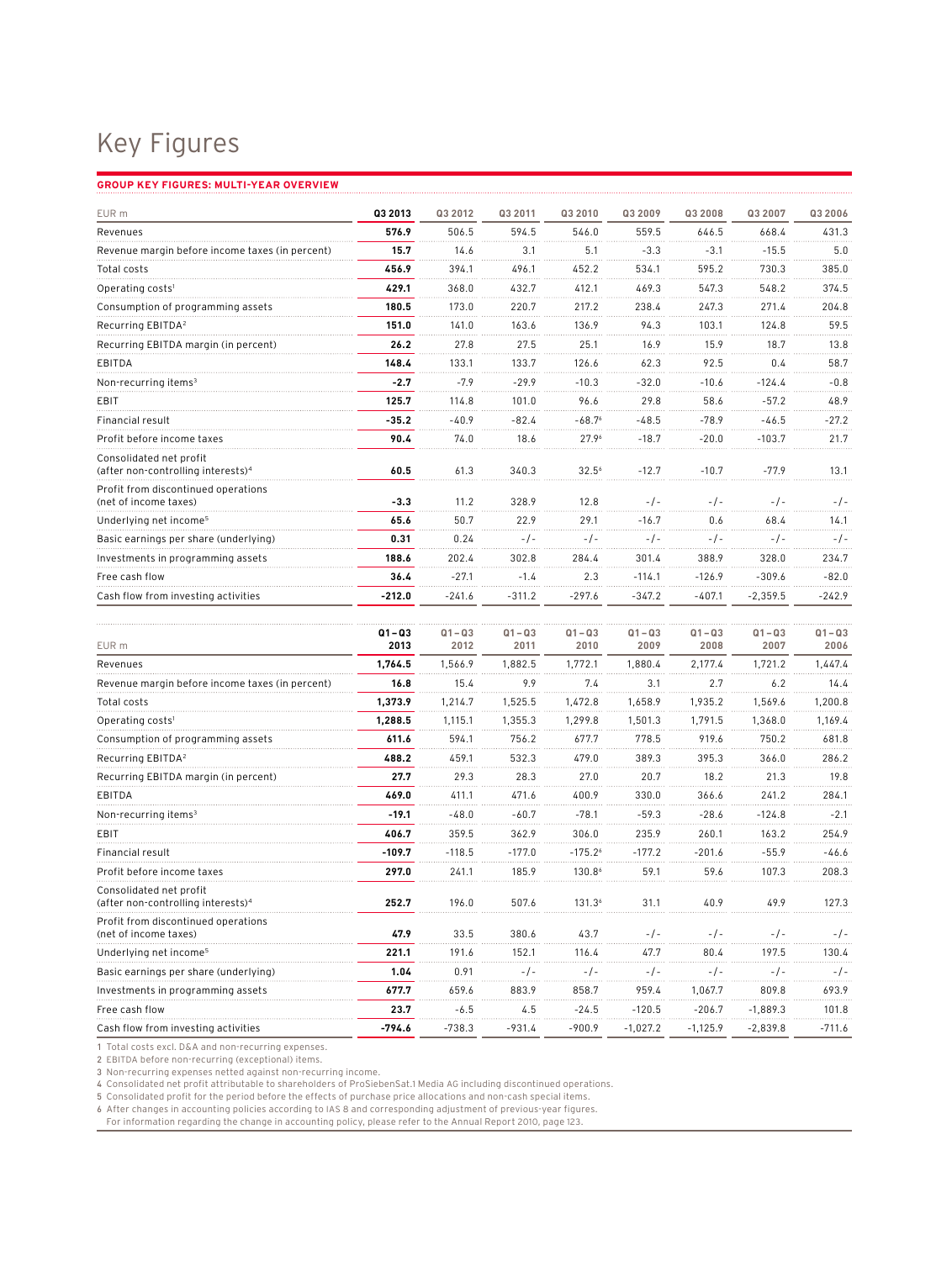## Key Figures

## **Group Key Figures: Multi-Year Overview**

| EUR m                                                                     | Q3 2013           | Q3 2012           | Q3 2011           | Q3 2010           | Q3 2009           | Q3 2008           | Q3 2007           | Q3 2006           |
|---------------------------------------------------------------------------|-------------------|-------------------|-------------------|-------------------|-------------------|-------------------|-------------------|-------------------|
| Revenues                                                                  | 576.9             | 506.5             | 594.5             | 546.0             | 559.5             | 646.5             | 668.4             | 431.3             |
| Revenue margin before income taxes (in percent)                           | 15.7              | 14.6              | 3.1               | 5.1               | $-3.3$            | $-3.1$            | $-15.5$           | 5.0               |
| Total costs                                                               | 456.9             | 394.1             | 496.1             | 452.2             | 534.1             | 595.2             | 730.3             | 385.0             |
| Operating costs <sup>1</sup>                                              | 429.1             | 368.0             | 432.7             | 412.1             | 469.3             | 547.3             | 548.2             | 374.5             |
| Consumption of programming assets                                         | 180.5             | 173.0             | 220.7             | 217.2             | 238.4             | 247.3             | 271.4             | 204.8             |
| Recurring EBITDA <sup>2</sup>                                             | 151.0             | 141.0             | 163.6             | 136.9             | 94.3              | 103.1             | 124.8             | 59.5              |
| Recurring EBITDA margin (in percent)                                      | 26.2              | 27.8              | 27.5              | 25.1              | 16.9              | 15.9              | 18.7              | 13.8              |
| EBITDA                                                                    | 148.4             | 133.1             | 133.7             | 126.6             | 62.3              | 92.5              | 0.4               | 58.7              |
| Non-recurring items <sup>3</sup>                                          | $-2.7$            | $-7.9$            | $-29.9$           | $-10.3$           | $-32.0$           | $-10.6$           | -124.4            | $-0.8$            |
| EBIT                                                                      | 125.7             | 114.8             | 101.0             | 96.6              | 29.8              | 58.6              | -57.2             | 48.9              |
| Financial result                                                          | -35.2             | $-40.9$           | -82.4             | -68.76            | $-48.5$           | $-78.9$           | $-46.5$           | $-27.2$           |
| Profit before income taxes                                                | 90.4              | 74.0              | 18.6              | 27.96             | $-18.7$           | $-20.0$           | $-103.7$          | 21.7              |
| Consolidated net profit<br>(after non-controlling interests) <sup>4</sup> | 60.5              | 61.3              | 340.3             | 32.5 <sup>6</sup> | $-12.7$           | $-10.7$           | $-77.9$           | 13.1              |
| Profit from discontinued operations<br>(net of income taxes)              | $-3.3$            | 11.2              | 328.9             | 12.8              | $-/-$             | $-/-$             | $-/-$             | $-$ / $-$         |
| Underlying net income <sup>5</sup>                                        | 65.6              | 50.7              | 22.9              | 29.1              | $-16.7$           | 0.6               | 68.4              | 14.1              |
| Basic earnings per share (underlying)                                     | 0.31              | 0.24              | $-/-$             | $-/-$             | -/-               | $-/-$             | -/-               | -/-               |
| Investments in programming assets                                         | 188.6             | 202.4             | 302.8             | 284.4             | 301.4             | 388.9             | 328.0             | 234.7             |
| Free cash flow                                                            | 36.4              | $-27.1$           | $-1.4$            | 2.3               | $-114.1$          | $-126.9$          | $-309.6$          | $-82.0$           |
| Cash flow from investing activities                                       | $-212.0$          | -241.6            | $-311.2$          | $-297.6$          | $-347.2$          | -407.1            | -2,359.5          | $-242.9$          |
| EUR m                                                                     | $Q1 - Q3$<br>2013 | $Q1 - Q3$<br>2012 | $Q1 - Q3$<br>2011 | $Q1 - Q3$<br>2010 | $Q1 - Q3$<br>2009 | $Q1 - Q3$<br>2008 | $Q1 - Q3$<br>2007 | $Q1 - Q3$<br>2006 |
| Revenues                                                                  | 1,764.5           | 1,566.9           | 1,882.5           | 1,772.1           | 1,880.4           | 2,177.4           | 1,721.2           | 1,447.4           |
| Revenue margin before income taxes (in percent)                           | 16.8              | 15.4              | 9.9               | 7.4               | 3.1               | 2.7               | 6.2               | 14.4              |
| Total costs                                                               | 1,373.9           | 1,214.7           | 1,525.5           | 1,472.8           | 1,658.9           | 1,935.2           | 1,569.6           | 1,200.8           |
| Operating costs <sup>1</sup>                                              | 1,288.5           | 1,115.1           | 1,355.3           | 1,299.8           | 1,501.3           | 1,791.5           | 1,368.0           | 1,169.4           |
| Consumption of programming assets                                         | 611.6             | 594.1             | 756.2             | 677.7             | 778.5             | 919.6             | 750.2             | 681.8             |
| Recurring EBITDA <sup>2</sup>                                             | 488.2             | 459.1             | 532.3             | 479.0             | 389.3             | 395.3             | 366.0             | 286.2             |
| Recurring EBITDA margin (in percent)                                      | 27.7              | 29.3              | 28.3              | 27.0              | 20.7              | 18.2              | 21.3              | 19.8              |
| EBITDA                                                                    | 469.0             | 411.1             | 471.6             | 400.9             | 330.0             | 366.6             | 241.2             | 284.1             |
| Non-recurring items <sup>3</sup>                                          | $-19.1$           | $-48.0$           | -60.7             | $-78.1$           | $-59.3$           | $-28.6$           | -124.8            | $-2.1$            |
| EBIT                                                                      | 406.7             | 359.5             | 362.9             | 306.0             | 235.9             | 260.1             | 163.2             | 254.9             |
| Financial result                                                          | -109.7            | $-118.5$          | $-177.0$          | $-175.26$         | $-177.2$          | $-201.6$          | $-55.9$           | $-46.6$           |
| Profit before income taxes                                                | 297.0             | 241.1             | 185.9             | 130.86            | 59.1              | 59.6              | 107.3             | 208.3             |
| Consolidated net profit<br>(after non-controlling interests) <sup>4</sup> | 252.7             | 196.0             | 507.6             | 131.36            | 31.1              | 40.9              | 49.9              | 127.3             |
| Profit from discontinued operations<br>(net of income taxes)              | 47.9              | 33.5              | 380.6             | 43.7              | -/-               | $-/-$             | -/-               | -/-               |
| Underlying net income <sup>5</sup>                                        | 221.1             | 191.6             | 152.1             | 116.4             | 47.7              | 80.4              | 197.5             | 130.4             |
| Basic earnings per share (underlying)                                     | 1.04              | 0.91              | $-/-$             | -/-               | -/-               | $-/-$             | -/-               | -/-               |
| Investments in programming assets                                         | 677.7             | 659.6             | 883.9             | 858.7             | 959.4             | 1,067.7           | 809.8             | 693.9             |
| Free cash flow                                                            | 23.7              | $-6.5$            | 4.5               | $-24.5$           | $-120.5$          | $-206.7$          | $-1,889.3$        | 101.8             |
| Cash flow from investing activities                                       | -794.6            | $-738.3$          | $-931.4$          | $-900.9$          | $-1,027.2$        | $-1,125.9$        | $-2,839.8$        | $-711.6$          |

1 Total costs excl. D&A and non-recurring expenses.

2 EBITDA before non-recurring (exceptional) items. 3 Non-recurring expenses netted against non-recurring income.

4 Consolidated net profit attributable to shareholders of ProSiebenSat.1 Media AG including discontinued operations.

5 Consolidated profit for the period before the effects of purchase price allocations and non-cash special items.

6 After changes in accounting policies according to IAS 8 and corresponding adjustment of previous-year figures.

For information regarding the change in accounting policy, please refer to the Annual Report 2010, page 123.